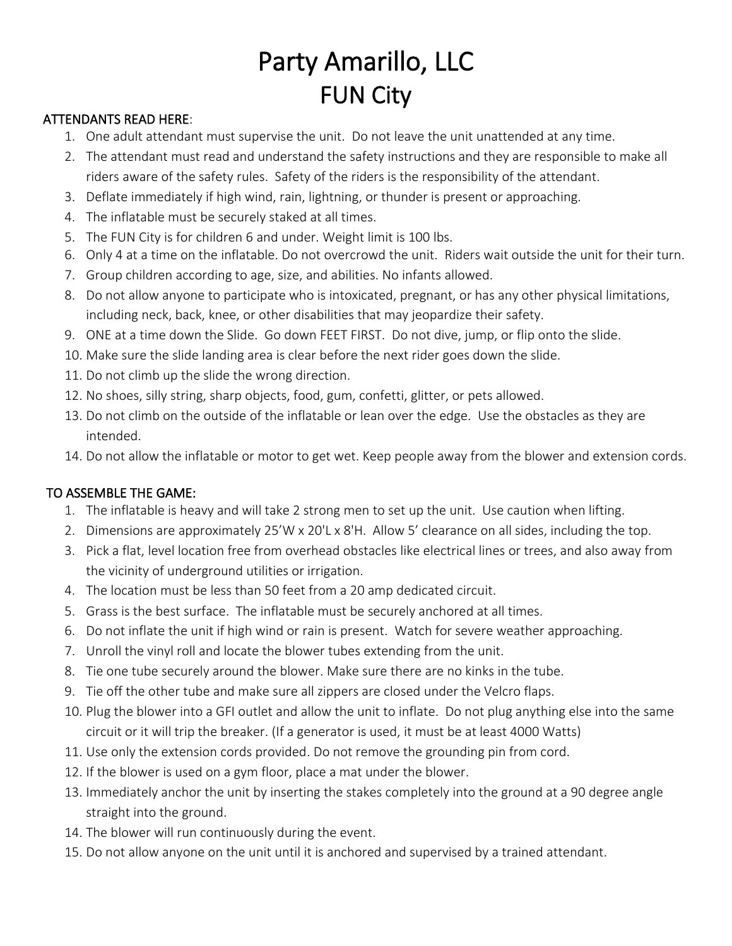## Party Amarillo, LLC FUN City

## ATTENDANTS READ HERE:

- 1. One adult attendant must supervise the unit. Do not leave the unit unattended at any time.
- 2. The attendant must read and understand the safety instructions and they are responsible to make all riders aware of the safety rules. Safety of the riders is the responsibility of the attendant.
- 3. Deflate immediately if high wind, rain, lightning, or thunder is present or approaching.
- 4. The inflatable must be securely staked at all times.
- 5. The FUN City is for children 6 and under. Weight limit is 100 lbs.
- 6. Only 4 at a time on the inflatable. Do not overcrowd the unit. Riders wait outside the unit for their turn.
- 7. Group children according to age, size, and abilities. No infants allowed.
- 8. Do not allow anyone to participate who is intoxicated, pregnant, or has any other physical limitations, including neck, back, knee, or other disabilities that may jeopardize their safety.
- 9. ONE at a time down the Slide. Go down FEET FIRST. Do not dive, jump, or flip onto the slide.
- 10. Make sure the slide landing area is clear before the next rider goes down the slide.
- 11. Do not climb up the slide the wrong direction.
- 12. No shoes, silly string, sharp objects, food, gum, confetti, glitter, or pets allowed.
- 13. Do not climb on the outside of the inflatable or lean over the edge. Use the obstacles as they are intended.
- 14. Do not allow the inflatable or motor to get wet. Keep people away from the blower and extension cords.

## TO ASSEMBLE THE GAME:

- 1. The inflatable is heavy and will take 2 strong men to set up the unit. Use caution when lifting.
- 2. Dimensions are approximately 25'W x 20'L x 8'H. Allow 5' clearance on all sides, including the top.
- 3. Pick a flat, level location free from overhead obstacles like electrical lines or trees, and also away from the vicinity of underground utilities or irrigation.
- 4. The location must be less than 50 feet from a 20 amp dedicated circuit.
- 5. Grass is the best surface. The inflatable must be securely anchored at all times.
- 6. Do not inflate the unit if high wind or rain is present. Watch for severe weather approaching.
- 7. Unroll the vinyl roll and locate the blower tubes extending from the unit.
- 8. Tie one tube securely around the blower. Make sure there are no kinks in the tube.
- 9. Tie off the other tube and make sure all zippers are closed under the Velcro flaps.
- 10. Plug the blower into a GFI outlet and allow the unit to inflate. Do not plug anything else into the same circuit or it will trip the breaker. (If a generator is used, it must be at least 4000 Watts)
- 11. Use only the extension cords provided. Do not remove the grounding pin from cord.
- 12. If the blower is used on a gym floor, place a mat under the blower.
- 13. Immediately anchor the unit by inserting the stakes completely into the ground at a 90 degree angle straight into the ground.
- 14. The blower will run continuously during the event.
- 15. Do not allow anyone on the unit until it is anchored and supervised by a trained attendant.